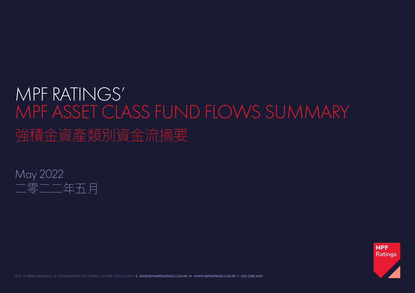## MPF RATINGS' MPF ASSET CLASS FUND FLOWS SUMMARY 強積金資產類別資金流摘要





LEVEL 15, NEXXUS BUILDING, 41 CONNAUGHT ROAD CENTRAL, CENTRAL, HONG KONG E - ENQUIRY@MPFRATINGS.COM.HK W - WWW.MPFRATINGS.COM.HK T - 852 2588 3409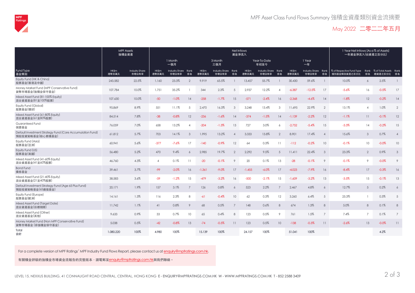

## May 2022 二零二二年五月

|                                                                               | <b>MPF Assets</b><br>強積金資產 |                                | Net Inflows<br>資金淨流入 |                                     |                |                |                              |                          |                      |                              |                 |                |                                     |                 | 1 Year Net Inflows (As a % of Assets)<br>一年資金淨流入(佔資產之百分比) |                 |                                           |                 |
|-------------------------------------------------------------------------------|----------------------------|--------------------------------|----------------------|-------------------------------------|----------------|----------------|------------------------------|--------------------------|----------------------|------------------------------|-----------------|----------------|-------------------------------------|-----------------|-----------------------------------------------------------|-----------------|-------------------------------------------|-----------------|
|                                                                               |                            |                                | 1 Month<br>一個月       |                                     |                | 3 Month<br>三個月 |                              |                          | Year-To-Date<br>年初至今 |                              |                 | 1 Year<br>一年   |                                     |                 |                                                           |                 |                                           |                 |
| Fund Type<br>基金類别                                                             | HK\$m<br>港幣百萬元             | <b>Industry Share</b><br>市場佔有率 | HK\$m<br>港幣百萬元       | <b>Industry Share Rank</b><br>市場佔有率 | 排名             | HK\$m<br>港幣百萬元 | Industry Share Rank<br>市場佔有率 | 排名                       | HK\$m<br>港幣百萬元       | Industry Share Rank<br>市場佔有率 | 排名              | HK\$m<br>港幣百萬元 | <b>Industry Share Rank</b><br>市場佔有率 | 排名              | % of Respective Fund Type<br>個別基金類别資產之百分比                 | 排名              | Rank % of Total Assets Rank<br>總資產之百分比 排名 |                 |
| Equity Fund (HK & China)<br>股票基金(香港及中國)                                       | 243,582                    | 22.5%                          | 1,160                | 23.3%                               | $\mathcal{D}$  | 9,919          | 65.5%                        |                          | 13,457               | 55.7%                        |                 | 30,430         | 59.6%                               |                 | 10.0%                                                     | 6               | 2.5%                                      |                 |
| Money Market Fund (MPF Conservative Fund)<br>貨幣市場基金(強積金保守基金)                  | 107,784                    | 10.0%                          | 1,751                | 35.2%                               |                | 344            | 2.3%                         | 5                        | 2,937                | 12.2%                        | $\overline{A}$  | $-6,387$       | $-12.5%$                            | 17              | $-5.6%$                                                   | 16              | $-0.5%$                                   | 17              |
| Mixed Asset Fund (81-100% Equity)<br>混合資產基金(81至100%股票)                        | 107,630                    | 10.0%                          | $-50$                | $-1.0%$                             | 14             | $-258$         | $-1.7%$                      | 15                       | $-571$               | $-2.4%$                      | 16              | $-2,368$       | $-4.6%$                             | 14              | $-1.8%$                                                   | 12              | $-0.2%$                                   | 14              |
| Eauity Fund (Global)<br>股票基金(環球)                                              | 95,869                     | 8.9%                           | 551                  | 11.1%                               | 5              | 2,470          | 16.3%                        | $\mathcal{S}$            | 3,248                | 13.4%                        | $\mathcal{R}$   | 11,695         | 22.9%                               | $\overline{2}$  | 13.1%                                                     | $\overline{4}$  | 1.0%                                      | $\overline{2}$  |
| Mixed Asset Fund (61-80% Equity)<br>混合資產基金(61至80%股票)                          | 84,514                     | 7.8%                           | $-38$                | $-0.8%$                             | 12             | $-236$         | $-1.6%$                      | 14                       | $-374$               | $-1.5%$                      | 14              | $-1,139$       | $-2.2%$                             | 12              | $-1.1%$                                                   | 11              | $-0.1%$                                   | 12              |
| <b>Guaranteed Fund</b><br>保證基金                                                | 76,059                     | 7.0%                           | 658                  | 13.2%                               | $\overline{4}$ | $-204$         | $-1.3%$                      | 13                       | 727                  | 3.0%                         | $\overline{a}$  | $-2,752$       | $-5.4%$                             | 15              | $-3.3%$                                                   | 14              | $-0.2%$                                   | 15              |
| Default Investment Strategy Fund (Core Accumulation Fund)<br>預設投資策略基金(核心累積基金) | 61,812                     | 5.7%                           | 703                  | 14.1%                               | $\mathcal{S}$  | 1,995          | 13.2%                        | $\overline{\mathcal{A}}$ | 3,333                | 13.8%                        | $\overline{2}$  | 8,901          | 17.4%                               | $\overline{A}$  | 15.6%                                                     | 3               | 0.7%                                      | $\overline{4}$  |
| Equity Fund (Asia)<br>股票基金(亞洲)                                                | 60,941                     | 5.6%                           | $-377$               | $-7.6%$                             | 17             | $-140$         | $-0.9%$                      | 12                       | 64                   | 0.3%                         | 11              | $-112$         | $-0.2%$                             | 10 <sup>°</sup> | $-0.1%$                                                   | 10 <sup>°</sup> | $-0.0%$                                   | 10 <sup>°</sup> |
| Equity Fund (US)<br>股票基金(美國)                                                  | 56,480                     | 5.2%                           | 470                  | 9.4%                                | $\overline{6}$ | 2,985          | 19.7%                        | $\overline{2}$           | 2,292                | 9.5%                         | $\overline{5}$  | 11,411         | 22.4%                               | 3               | 23.3%                                                     | $\overline{2}$  | 0.9%                                      | $\mathcal{S}$   |
| Mixed Asset Fund (41-60% Equity)<br>混合資產基金(41至60%股票)                          | 46,760                     | 4.3%                           | $\overline{A}$       | 0.1%                                | 11             | $-20$          | $-0.1%$                      | 9                        | 20                   | 0.1%                         | 13              | $-28$          | $-0.1%$                             | 9               | $-0.1%$                                                   | 9               | $-0.0%$                                   | $\circ$         |
| <b>Bond Fund</b><br>債券基金                                                      | 39,461                     | 3.7%                           | $-99$                | $-2.0%$                             | 16             | $-1,361$       | $-9.0%$                      | 17                       | $-1.455$             | $-6.0\%$                     | 17              | $-4,023$       | $-7.9\%$                            | 16              | $-8.4%$                                                   | 17              | $-0.3%$                                   | 16              |
| Mixed Asset Fund (21-40% Equity)<br>混合資產基金(21至40%股票)                          | 38,583                     | 3.6%                           | $-59$                | $-1.2%$                             | 15             | $-479$         | $-3.2%$                      | 16                       | $-500$               | $-2.1%$                      | 15              | $-1,609$       | $-3.2%$                             | 13              | $-3.5%$                                                   | 15              | $-0.1%$                                   | 13              |
| Default Investment Strategy Fund (Age 65 Plus Fund)<br>預設投資策略基金(65歲後基金)       | 20,171                     | 1.9%                           | 157                  | 3.1%                                |                | 126            | 0.8%                         | 6                        | 523                  | 2.2%                         |                 | 2,467          | 4.8%                                | 6               | 12.7%                                                     | 5               | 0.2%                                      | 6               |
| Equity Fund (Europe)<br>股票基金(歐洲)                                              | 14,161                     | 1.3%                           | 116                  | 2.3%                                | 8              | $-61$          | $-0.4%$                      | 10                       | 62                   | 0.3%                         | 12              | 3,260          | 6.4%                                | 5               | 25.3%                                                     |                 | 0.3%                                      | 5               |
| Mixed Asset Fund (Target Date)<br>混合資產基金(目標期限)                                | 11,742                     | 1.1%                           | 41                   | 0.8%                                | 9              | 68             | 0.5%                         | $\overline{7}$           | 148                  | 0.6%                         | 8               | 674            | 1.3%                                | 8               | 5.0%                                                      | 8               | 0.1%                                      | 8               |
| Mixed Asset Fund (Other)<br>混合資產基金(其他)                                        | 9,633                      | 0.9%                           | 33                   | 0.7%                                | 10             | 65             | 0.4%                         | 8                        | 123                  | 0.5%                         | 9               | 761            | 1.5%                                | $\overline{7}$  | 7.4%                                                      | $\overline{7}$  | 0.1%                                      | $\overline{7}$  |
| Money Market Fund (Non MPF Conservative Fund)<br>貨幣市場基金 (非強積金保守基金)            | 5,038                      | 0.5%                           | $-42$                | $-0.8%$                             | 13             | $-74$          | $-0.5%$                      | 11                       | 123                  | 0.5%                         | 10 <sup>°</sup> | $-138$         | $-0.3%$                             | 11              | $-2.6%$                                                   | 13              | $-0.0%$                                   | 11              |
| Total<br>合計                                                                   | 1,080,220                  | 100%                           | 4,980                | 100%                                |                | 15,139         | 100%                         |                          | 24,157               | 100%                         |                 | 51,041         | 100%                                |                 |                                                           |                 | 4.2%                                      |                 |

For a complete version of MPF Ratings' MPF Industry Fund Flows Report, please contact us at enquiry@mpfratings.com.hk.

有關積金評級的強積金市場資金流報告的完整版本,請電郵至enquiry@mpfratings.com.hk與我們聯絡。